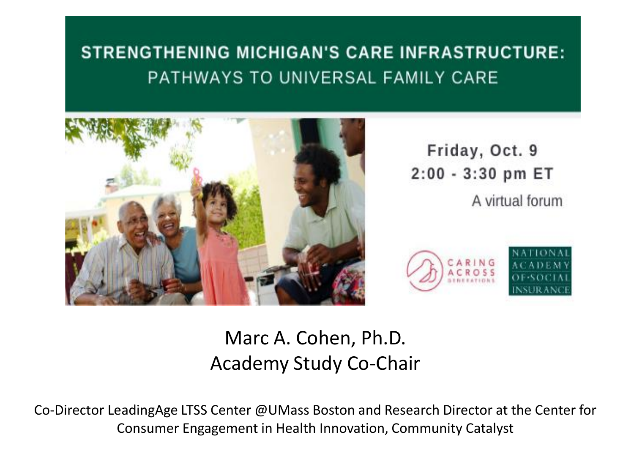### **STRENGTHENING MICHIGAN'S CARE INFRASTRUCTURE:** PATHWAYS TO UNIVERSAL FAMILY CARE



Friday, Oct. 9 2:00 - 3:30 pm ET A virtual forum



### Marc A. Cohen, Ph.D. Academy Study Co-Chair

Co-Director LeadingAge LTSS Center @UMass Boston and Research Director at the Center for Consumer Engagement in Health Innovation, Community Catalyst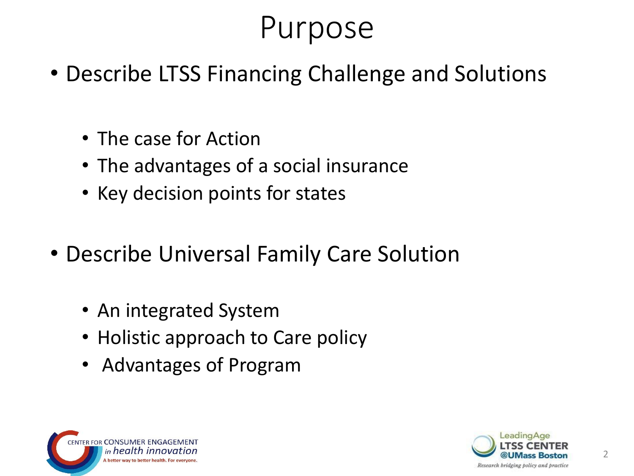# Purpose

- Describe LTSS Financing Challenge and Solutions
	- The case for Action
	- The advantages of a social insurance
	- Key decision points for states
- Describe Universal Family Care Solution
	- An integrated System
	- Holistic approach to Care policy
	- Advantages of Program



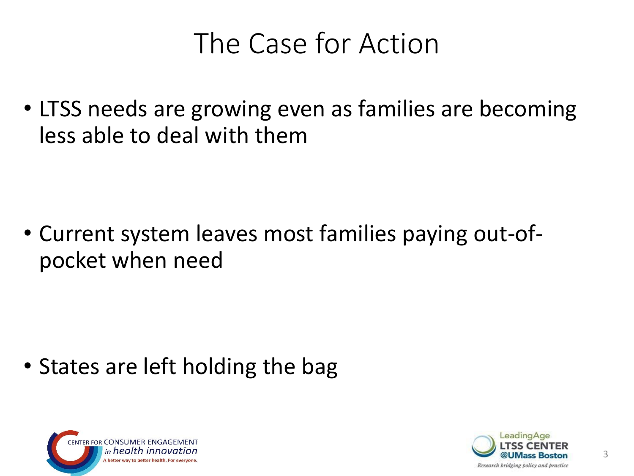## The Case for Action

• LTSS needs are growing even as families are becoming less able to deal with them

• Current system leaves most families paying out-ofpocket when need

• States are left holding the bag



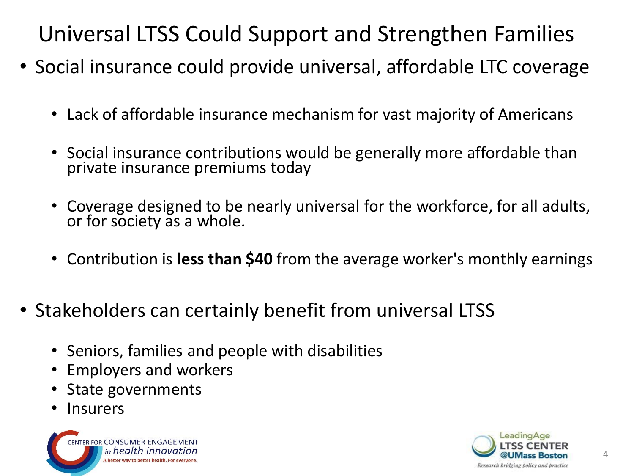Universal LTSS Could Support and Strengthen Families

- Social insurance could provide universal, affordable LTC coverage
	- Lack of affordable insurance mechanism for vast majority of Americans
	- Social insurance contributions would be generally more affordable than private insurance premiums today
	- Coverage designed to be nearly universal for the workforce, for all adults, or for society as a whole.
	- Contribution is **less than \$40** from the average worker's monthly earnings
- Stakeholders can certainly benefit from universal LTSS
	- Seniors, families and people with disabilities
	- Employers and workers
	- State governments
	- **Insurers**



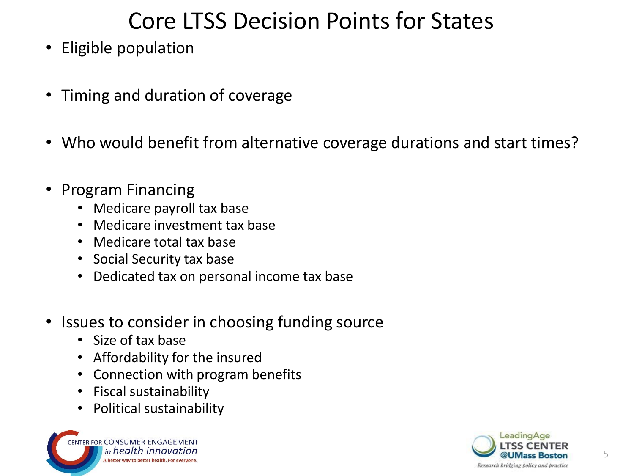### Core LTSS Decision Points for States

- Eligible population
- Timing and duration of coverage
- Who would benefit from alternative coverage durations and start times?
- Program Financing
	- Medicare payroll tax base
	- Medicare investment tax base
	- Medicare total tax base
	- Social Security tax base
	- Dedicated tax on personal income tax base
- Issues to consider in choosing funding source
	- Size of tax base
	- Affordability for the insured
	- Connection with program benefits
	- Fiscal sustainability
	- Political sustainability



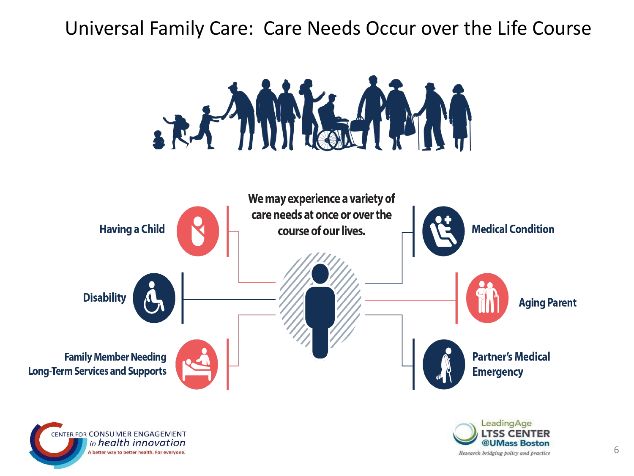#### Universal Family Care: Care Needs Occur over the Life Course







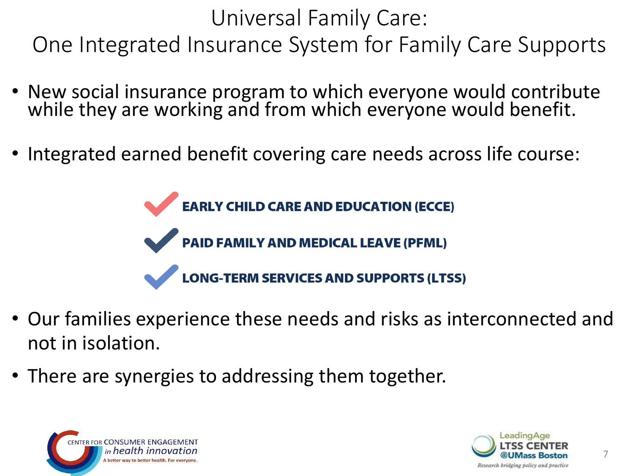Universal Family Care: One Integrated Insurance System for Family Care Supports

- New social insurance program to which everyone would contribute while they are working and from which everyone would benefit.
- Integrated earned benefit covering care needs across life course:

**EARLY CHILD CARE AND EDUCATION (ECCE) PAID FAMILY AND MEDICAL LEAVE (PFML)** ONG-TERM SERVICES AND SUPPORTS (LTSS)

- Our families experience these needs and risks as interconnected and not in isolation.
- There are synergies to addressing them together.



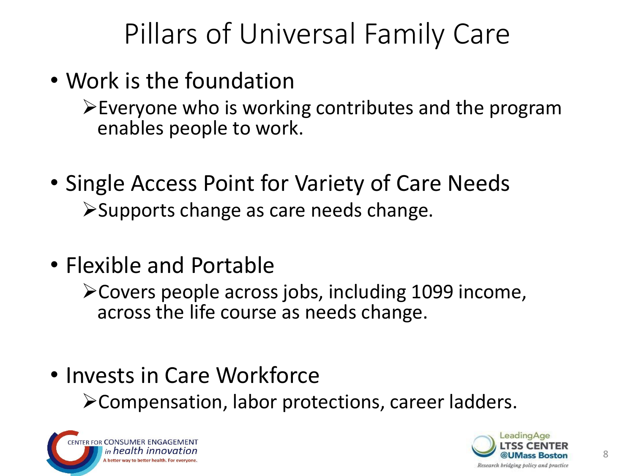## Pillars of Universal Family Care

- Work is the foundation
	- $\triangleright$  Everyone who is working contributes and the program enables people to work.
- Single Access Point for Variety of Care Needs ➢Supports change as care needs change.
- Flexible and Portable
	- ➢Covers people across jobs, including 1099 income, across the life course as needs change.
- Invests in Care Workforce ➢Compensation, labor protections, career ladders.



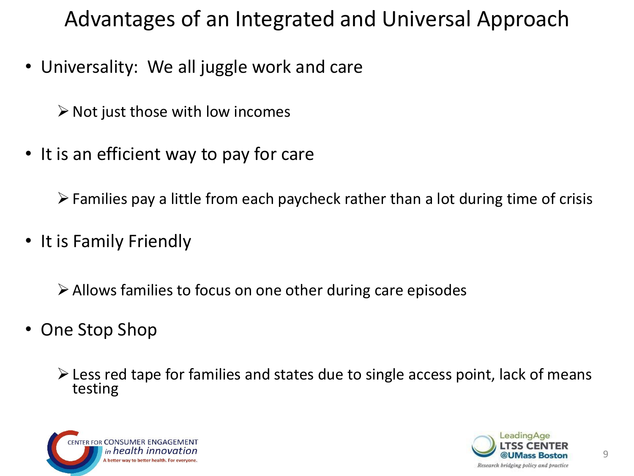Advantages of an Integrated and Universal Approach

• Universality: We all juggle work and care

 $\triangleright$  Not just those with low incomes

• It is an efficient way to pay for care

 $\triangleright$  Families pay a little from each paycheck rather than a lot during time of crisis

• It is Family Friendly

 $\triangleright$  Allows families to focus on one other during care episodes

• One Stop Shop

 $\triangleright$  Less red tape for families and states due to single access point, lack of means testing



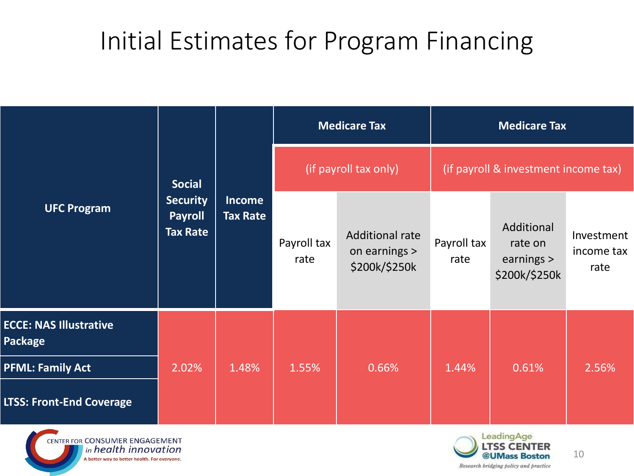### Initial Estimates for Program Financing

| <b>UFC Program</b>                                                                                            | <b>Social</b><br><b>Security</b><br><b>Payroll</b><br><b>Tax Rate</b> | <b>Income</b><br><b>Tax Rate</b> | <b>Medicare Tax</b>   |                                                          | <b>Medicare Tax</b>                  |                                                      |                                  |
|---------------------------------------------------------------------------------------------------------------|-----------------------------------------------------------------------|----------------------------------|-----------------------|----------------------------------------------------------|--------------------------------------|------------------------------------------------------|----------------------------------|
|                                                                                                               |                                                                       |                                  | (if payroll tax only) |                                                          | (if payroll & investment income tax) |                                                      |                                  |
|                                                                                                               |                                                                       |                                  | Payroll tax<br>rate   | <b>Additional rate</b><br>on earnings ><br>\$200k/\$250k | Payroll tax<br>rate                  | Additional<br>rate on<br>earnings ><br>\$200k/\$250k | Investment<br>income tax<br>rate |
| <b>ECCE: NAS Illustrative</b><br><b>Package</b><br><b>PFML: Family Act</b><br><b>LTSS: Front-End Coverage</b> | 2.02%                                                                 | 1.48%                            | 1.55%                 | 0.66%                                                    | 1.44%                                | 0.61%                                                | 2.56%                            |





10